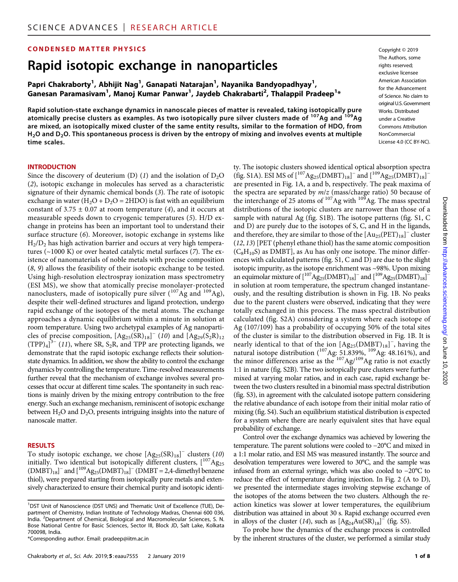# CONDENSED MATTER PHYSICS Copyright © 2019

# Rapid isotopic exchange in nanoparticles

Papri Chakraborty<sup>1</sup>, Abhijit Nag<sup>1</sup>, Ganapati Natarajan<sup>1</sup>, Nayanika Bandyopadhyay<sup>1</sup>, Ganesan Paramasivam<sup>1</sup>, Manoj Kumar Panwar<sup>1</sup>, Jaydeb Chakrabarti<sup>2</sup>, Thalappil Pradeep<sup>1\*</sup>

Rapid solution-state exchange dynamics in nanoscale pieces of matter is revealed, taking isotopically pure atomically precise clusters as examples. As two isotopically pure silver clusters made of <sup>107</sup>Ag and <sup>109</sup>Ag are mixed, an isotopically mixed cluster of the same entity results, similar to the formation of HDO, from  $H<sub>2</sub>O$  and D<sub>2</sub>O. This spontaneous process is driven by the entropy of mixing and involves events at multiple time scales.

The Authors, some rights reserved; exclusive licensee American Association for the Advancement of Science. No claim to original U.S. Government Works. Distributed under a Creative Commons Attribution NonCommercial License 4.0 (CC BY-NC).

#### **INTRODUCTION**

Since the discovery of deuterium (D) (1) and the isolation of  $D_2O$ (2), isotopic exchange in molecules has served as a characteristic signature of their dynamic chemical bonds (3). The rate of isotopic exchange in water  $(H_2O + D_2O = 2HDO)$  is fast with an equilibrium constant of  $3.75 \pm 0.07$  at room temperature (4), and it occurs at measurable speeds down to cryogenic temperatures (5). H/D exchange in proteins has been an important tool to understand their surface structure (6). Moreover, isotopic exchange in systems like  $H<sub>2</sub>/D<sub>2</sub>$  has high activation barrier and occurs at very high temperatures  $(\sim 1000 \text{ K})$  or over heated catalytic metal surfaces (7). The existence of nanomaterials of noble metals with precise composition (8, 9) allows the feasibility of their isotopic exchange to be tested. Using high-resolution electrospray ionization mass spectrometry (ESI MS), we show that atomically precise monolayer-protected nanoclusters, made of isotopically pure silver  $(^{107}Ag$  and  $^{109}Ag$ ), despite their well-defined structures and ligand protection, undergo rapid exchange of the isotopes of the metal atoms. The exchange approaches a dynamic equilibrium within a minute in solution at room temperature. Using two archetypal examples of Ag nanoparticles of precise composition,  $[Ag_{25}(SR)_{18}]^- (10)$  and  $[Ag_{29}(S_2R)_{12}]$  $(TPP)<sub>4</sub>$ <sup>3–</sup> (11), where SR, S<sub>2</sub>R, and TPP are protecting ligands, we demonstrate that the rapid isotopic exchange reflects their solutionstate dynamics. In addition, we show the ability to control the exchange dynamics by controlling the temperature. Time-resolved measurements further reveal that the mechanism of exchange involves several processes that occur at different time scales. The spontaneity in such reactions is mainly driven by the mixing entropy contribution to the free energy. Such an exchange mechanism, reminiscent of isotopic exchange between  $H_2O$  and  $D_2O$ , presents intriguing insights into the nature of nanoscale matter.

#### RESULTS

To study isotopic exchange, we chose  $[Ag_{25}(SR)_{18}]$ <sup>-</sup> clusters (10) initially. Two identical but isotopically different clusters,  $[^{107}Ag_{25}]$  $(DMBT)_{18}]^-$  and  $[{}^{109}Ag_{25}(DMBT)_{18}]^-$  (DMBT = 2,4-dimethyl benzene thiol), were prepared starting from isotopically pure metals and extensively characterized to ensure their chemical purity and isotopic identi-

ty. The isotopic clusters showed identical optical absorption spectra  $(\text{fig. S1A}). \text{ESI MS of }[^{107}\text{Ag}_{25}(\text{DMBT})_{18}]^{-} \text{ and }[^{109}\text{Ag}_{25}(\text{DMBT})_{18}]^{-}$ are presented in Fig. 1A, a and b, respectively. The peak maxima of the spectra are separated by  $m/z$  (mass/charge ratio) 50 because of the interchange of 25 atoms of <sup>107</sup>Ag with <sup>109</sup>Ag. The mass spectral distributions of the isotopic clusters are narrower than those of a sample with natural Ag (fig. S1B). The isotope patterns (fig. S1, C and D) are purely due to the isotopes of S, C, and H in the ligands, and therefore, they are similar to those of the  $[Au_{25}(PET)_{18}]^-$  cluster (12, 13) [PET (phenyl ethane thiol) has the same atomic composition  $(C_8H_{10}S)$  as DMBT], as Au has only one isotope. The minor differences with calculated patterns (fig. S1, C and D) are due to the slight isotopic impurity, as the isotope enrichment was ~98%. Upon mixing an equimolar mixture of  $\left[107\frac{Ag_{25}(DMBT)_{18}}{9}\right]$  and  $\left[109\frac{Ag_{25}(DMBT)_{18}}{9}\right]$ in solution at room temperature, the spectrum changed instantaneously, and the resulting distribution is shown in Fig. 1B. No peaks due to the parent clusters were observed, indicating that they were totally exchanged in this process. The mass spectral distribution calculated (fig. S2A) considering a system where each isotope of Ag (107/109) has a probability of occupying 50% of the total sites of the cluster is similar to the distribution observed in Fig. 1B. It is nearly identical to that of the ion  $[Ag_{25}(DMBT)_{18}]^-$ , having the natural isotope distribution  $(^{107}Ag: 51.839\%$ ,  $^{109}Ag: 48.161\%$ ), and the minor differences arise as the  $107$ Ag/ $109$ Ag ratio is not exactly 1:1 in nature (fig. S2B). The two isotopically pure clusters were further mixed at varying molar ratios, and in each case, rapid exchange between the two clusters resulted in a binomial mass spectral distribution (fig. S3), in agreement with the calculated isotope pattern considering the relative abundance of each isotope from their initial molar ratio of mixing (fig. S4). Such an equilibrium statistical distribution is expected for a system where there are nearly equivalent sites that have equal probability of exchange.

Control over the exchange dynamics was achieved by lowering the temperature. The parent solutions were cooled to −20°C and mixed in a 1:1 molar ratio, and ESI MS was measured instantly. The source and desolvation temperatures were lowered to 30°C, and the sample was infused from an external syringe, which was also cooled to −20°C to reduce the effect of temperature during injection. In Fig. 2 (A to D), we presented the intermediate stages involving stepwise exchange of the isotopes of the atoms between the two clusters. Although the reaction kinetics was slower at lower temperatures, the equilibrium distribution was attained in about 30 s. Rapid exchange occurred even in alloys of the cluster (14), such as  $[Ag_{24}Au(SR)_{18}]^{\text{--}}$  (fig. S5).

To probe how the dynamics of the exchange process is controlled by the inherent structures of the cluster, we performed a similar study

<sup>&</sup>lt;sup>1</sup>DST Unit of Nanoscience (DST UNS) and Thematic Unit of Excellence (TUE), Department of Chemistry, Indian Institute of Technology Madras, Chennai 600 036, India. <sup>2</sup> Department of Chemical, Biological and Macromolecular Sciences, S. N. Bose National Centre for Basic Sciences, Sector III, Block JD, Salt Lake, Kolkata 700098, India.

<sup>\*</sup>Corresponding author. Email: pradeep@iitm.ac.in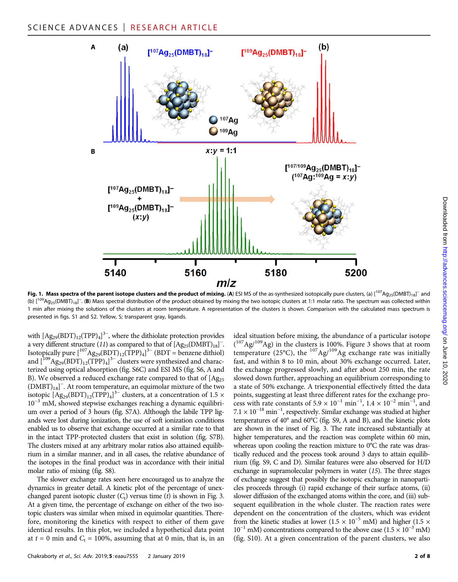

**Fig. 1. Mass spectra of the parent isotope clusters and the product of mixing. (A**) ESI MS of the as-synthesized isotopically pure clusters, (a) [<sup>107</sup>Ag<sub>25</sub>(DMBT)<sub>18</sub>]<sup>–</sup> and (b)  $[{}^{109}Ag_{25}(DMBT)_{18}]^-$ . (B) Mass spectral distribution of the product obtained by mixing the two isotopic clusters at 1:1 molar ratio. The spectrum was collected within 1 min after mixing the solutions of the clusters at room temperature. A representation of the clusters is shown. Comparison with the calculated mass spectrum is presented in figs. S1 and S2. Yellow, S; transparent gray, ligands.

with  $[Ag_{29}(BDT)_{12}(TPP)_4]^{3-}$ , where the dithiolate protection provides a very different structure (11) as compared to that of  $[Ag_{25}(DMBT)_{18}]^{-}$ . Isotopically pure  $\left[ \frac{^{107}Ag_{29}(BDT)_{12}(TPP)_4}{^{3-}} \right]$  (BDT = benzene dithiol) and  $\left[^{109}\text{Ag}_{29}(\text{BDT})_{12}(\text{TPP})_{4}\right]^3$  clusters were synthesized and characterized using optical absorption (fig. S6C) and ESI MS (fig. S6, A and B). We observed a reduced exchange rate compared to that of  $[Ag_{25}]$  $(DMBT)_{18}]^{-}$ . At room temperature, an equimolar mixture of the two isotopic  $[Ag_{29}(BDT)_{12}(TPP)_4]^{3-}$  clusters, at a concentration of 1.5  $\times$  $10^{-3}$  mM, showed stepwise exchanges reaching a dynamic equilibrium over a period of 3 hours (fig. S7A). Although the labile TPP ligands were lost during ionization, the use of soft ionization conditions enabled us to observe that exchange occurred at a similar rate to that in the intact TPP-protected clusters that exist in solution (fig. S7B). The clusters mixed at any arbitrary molar ratios also attained equilibrium in a similar manner, and in all cases, the relative abundance of the isotopes in the final product was in accordance with their initial molar ratio of mixing (fig. S8).

The slower exchange rates seen here encouraged us to analyze the dynamics in greater detail. A kinetic plot of the percentage of unexchanged parent isotopic cluster  $(C_t)$  versus time (t) is shown in Fig. 3. At a given time, the percentage of exchange on either of the two isotopic clusters was similar when mixed in equimolar quantities. Therefore, monitoring the kinetics with respect to either of them gave identical results. In this plot, we included a hypothetical data point at  $t = 0$  min and  $C_t = 100\%$ , assuming that at 0 min, that is, in an

Chakraborty et al., Sci. Adv. 2019; 5: eaau7555 2 January 2019 2 of 8

ideal situation before mixing, the abundance of a particular isotope ( 107Ag/109Ag) in the clusters is 100%. Figure 3 shows that at room temperature (25°C), the  $^{107}$ Ag/ $^{109}$ Ag exchange rate was initially fast, and within 8 to 10 min, about 30% exchange occurred. Later, the exchange progressed slowly, and after about 250 min, the rate slowed down further, approaching an equilibrium corresponding to a state of 50% exchange. A triexponential effectively fitted the data points, suggesting at least three different rates for the exchange process with rate constants of  $5.9 \times 10^{-1}$  min<sup>-1</sup>,  $1.4 \times 10^{-2}$  min<sup>-1</sup>, and  $7.1 \times 10^{-18}$  min<sup>-1</sup>, respectively. Similar exchange was studied at higher temperatures of 40° and 60°C (fig. S9, A and B), and the kinetic plots are shown in the inset of Fig. 3. The rate increased substantially at higher temperatures, and the reaction was complete within 60 min, whereas upon cooling the reaction mixture to 0°C the rate was drastically reduced and the process took around 3 days to attain equilibrium (fig. S9, C and D). Similar features were also observed for H/D exchange in supramolecular polymers in water (15). The three stages of exchange suggest that possibly the isotopic exchange in nanoparticles proceeds through (i) rapid exchange of their surface atoms, (ii) slower diffusion of the exchanged atoms within the core, and (iii) subsequent equilibration in the whole cluster. The reaction rates were dependent on the concentration of the clusters, which was evident from the kinetic studies at lower (1.5 × 10<sup>-5</sup> mM) and higher (1.5 ×  $10^{-1}$  mM) concentrations compared to the above case (1.5 × 10<sup>-3</sup> mM) (fig. S10). At a given concentration of the parent clusters, we also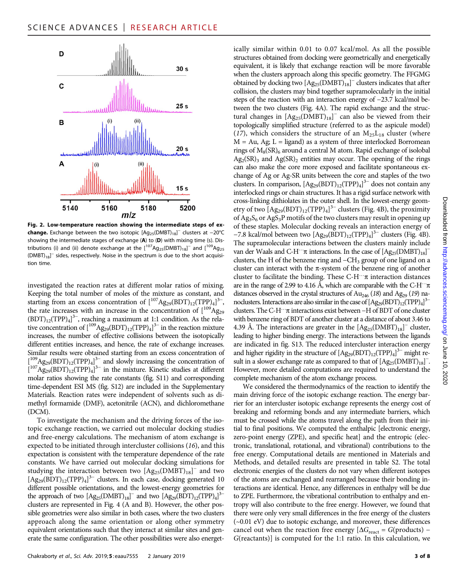

Fig. 2. Low-temperature reaction showing the intermediate steps of ex**change.** Exchange between the two isotopic  $[Ag_{25}(DMBT)_{18}]^-$  clusters at  $-20^{\circ}$ C showing the intermediate stages of exchange (A) to (D) with mixing time (s). Distributions (i) and (ii) denote exchange at the  $[^{107}Ag_{25}(DMBT)_{18}]^-$  and  $[^{109}Ag_{25}$  $(DMBT)_{18}]$ <sup>-</sup> sides, respectively. Noise in the spectrum is due to the short acquisition time.

investigated the reaction rates at different molar ratios of mixing. Keeping the total number of moles of the mixture as constant, and starting from an excess concentration of  $\left[ {}^{107}Ag_{29}(BDT)_{12}(TPP)_4 \right]^{3-}$ , the rate increases with an increase in the concentration of  $[109Ag_{29}]$  $(BDT)_{12}(TPP)_4]^3$ , reaching a maximum at 1:1 condition. As the relative concentration of  $\left[ {}^{109}Ag_{29}(BDT)_{12}(TPP)_4 \right]^{3-}$  in the reaction mixture increases, the number of effective collisions between the isotopically different entities increases, and hence, the rate of exchange increases. Similar results were obtained starting from an excess concentration of  $\left[\frac{109}{2}Ag_{29}(BDT)_{12}(TPP)_4\right]^3$  and slowly increasing the concentration of  $\left[ {}^{107}Ag_{29}(BDT)_{12}(TPP)_4 \right]$ <sup>3-</sup> in the mixture. Kinetic studies at different molar ratios showing the rate constants (fig. S11) and corresponding time-dependent ESI MS (fig. S12) are included in the Supplementary Materials. Reaction rates were independent of solvents such as dimethyl formamide (DMF), acetonitrile (ACN), and dichloromethane (DCM).

To investigate the mechanism and the driving forces of the isotopic exchange reaction, we carried out molecular docking studies and free-energy calculations. The mechanism of atom exchange is expected to be initiated through intercluster collisions (16), and this expectation is consistent with the temperature dependence of the rate constants. We have carried out molecular docking simulations for studying the interaction between two  $[Ag_{25}(DMBT)_{18}]^-$  and two  $[Ag_{29}(BDT)_{12}(TPP)_4]^{3-}$  clusters. In each case, docking generated 10 different possible orientations, and the lowest-energy geometries for the approach of two  $[Ag_{25}(DMBT)_{18}]^-$  and two  $[Ag_{29}(BDT)_{12}(TPP)_4]^{3-}$ clusters are represented in Fig. 4 (A and B). However, the other possible geometries were also similar in both cases, where the two clusters approach along the same orientation or along other symmetry equivalent orientations such that they interact at similar sites and generate the same configuration. The other possibilities were also energet-

Chakraborty et al., Sci. Adv. 2019;5: eaau7555 2 January 2019 3 of 8

ically similar within 0.01 to 0.07 kcal/mol. As all the possible structures obtained from docking were geometrically and energetically equivalent, it is likely that exchange reaction will be more favorable when the clusters approach along this specific geometry. The FFGMG obtained by docking two  $[Ag_{25}(DMBT)_{18}]^-$  clusters indicates that after collision, the clusters may bind together supramolecularly in the initial steps of the reaction with an interaction energy of −23.7 kcal/mol between the two clusters (Fig. 4A). The rapid exchange and the structural changes in  $[Ag_{25}(DMBT)_{18}]^-$  can also be viewed from their topologically simplified structure (referred to as the aspicule model) (17), which considers the structure of an  $M_{25}L_{18}$  cluster (where  $M = Au$ , Ag;  $L = ligand$ ) as a system of three interlocked Borromean rings of  $M_8(SR)_6$  around a central M atom. Rapid exchange of isolobal  $Ag<sub>2</sub>(SR)<sub>3</sub>$  and  $Ag(SR)<sub>2</sub>$  entities may occur. The opening of the rings can also make the core more exposed and facilitate spontaneous exchange of Ag or Ag-SR units between the core and staples of the two clusters. In comparison,  $[Ag_{29}(BDT)_{12}(TPP)_4]^{3-}$  does not contain any interlocked rings or chain structures. It has a rigid surface network with cross-linking dithiolates in the outer shell. In the lowest-energy geometry of two  $[Ag_{29}(BDT)_{12}(TPP)_4]^{3-}$  clusters (Fig. 4B), the proximity of  $Ag_3S_6$  or  $AgS_3P$  motifs of the two clusters may result in opening up of these staples. Molecular docking reveals an interaction energy of  $-7.8$  kcal/mol between two  $[Ag_{29}(BDT)_{12}(TPP)_4]^{3-}$  clusters (Fig. 4B). The supramolecular interactions between the clusters mainly include van der Waals and C-H<sup>…</sup> $\pi$  interactions. In the case of  $[Ag_{25}(DMBT)_{18}]^$ clusters, the H of the benzene ring and  $-CH_3$  group of one ligand on a cluster can interact with the  $\pi$ -system of the benzene ring of another cluster to facilitate the binding. These  $C-H^{\cdots}\pi$  interaction distances are in the range of 2.99 to 4.16 Å, which are comparable with the C-H<sup> $\cdot \cdot \pi$ </sup> distances observed in the crystal structures of  $Au_{246}$  (18) and  $Ag_{29}$  (19) nanoclusters. Interactions are also similar in the case of  $[Ag_{29}(BDT)_{12}(TPP)_4]$ <sup>3–</sup> clusters. The C-H…p interactions exist between −H of BDT of one cluster with benzene ring of BDT of another cluster at a distance of about 3.46 to 4.39 Å. The interactions are greater in the  $[Ag_{25}(DMBT)_{18}]^-$  cluster, leading to higher binding energy. The interactions between the ligands are indicated in fig. S13. The reduced intercluster interaction energy and higher rigidity in the structure of  $[Ag_{29}(BDT)_{12}(TPP)_4]^{3-}$  might result in a slower exchange rate as compared to that of  $[Ag_{25}(DMBT)_{18}]^-$ . However, more detailed computations are required to understand the complete mechanism of the atom exchange process.

We considered the thermodynamics of the reaction to identify the main driving force of the isotopic exchange reaction. The energy barrier for an intercluster isotopic exchange represents the energy cost of breaking and reforming bonds and any intermediate barriers, which must be crossed while the atoms travel along the path from their initial to final positions. We computed the enthalpic [electronic energy, zero-point energy (ZPE), and specific heat] and the entropic (electronic, translational, rotational, and vibrational) contributions to the free energy. Computational details are mentioned in Materials and Methods, and detailed results are presented in table S2. The total electronic energies of the clusters do not vary when different isotopes of the atoms are exchanged and rearranged because their bonding interactions are identical. Hence, any differences in enthalpy will be due to ZPE. Furthermore, the vibrational contribution to enthalpy and entropy will also contribute to the free energy. However, we found that there were only very small differences in the free energy of the clusters (~0.01 eV) due to isotopic exchange, and moreover, these differences cancel out when the reaction free energy  $[\Delta G_{\text{react}} = G(\text{products})$  – G(reactants)] is computed for the 1:1 ratio. In this calculation, we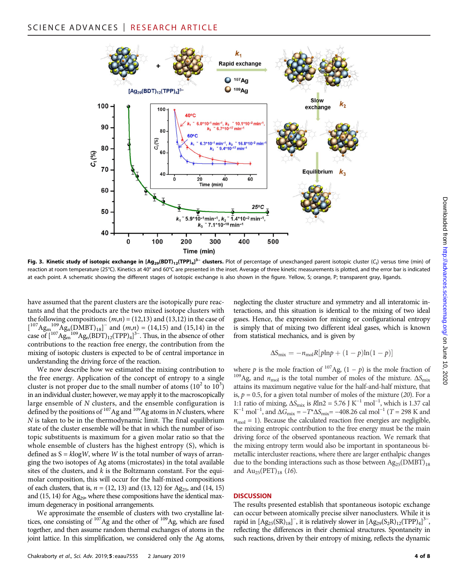

Fig. 3. Kinetic study of isotopic exchange in [Ag<sub>29</sub>(BDT)<sub>12</sub>(TPP)<sub>4</sub>]<sup>3–</sup> clusters. Plot of percentage of unexchanged parent isotopic cluster (C<sub>t</sub>) versus time (min) of reaction at room temperature (25°C). Kinetics at 40° and 60°C are presented in the inset. Average of three kinetic measurements is plotted, and the error bar is indicated at each point. A schematic showing the different stages of isotopic exchange is also shown in the figure. Yellow, S; orange, P; transparent gray, ligands.

have assumed that the parent clusters are the isotopically pure reactants and that the products are the two mixed isotope clusters with the following compositions:  $(m,n) = (12,13)$  and  $(13,12)$  in the case of  $[^{107}Ag_{m}^{109}Ag_{n}(DMBT)_{18}]^-$  and  $(m,n) = (14,15)$  and  $(15,14)$  in the case of  $\frac{107}{4}$ Ag<sub>m</sub><sup>109</sup>Ag<sub>n</sub>(BDT)<sub>12</sub>(TPP)<sub>4</sub>]<sup>3–</sup>. Thus, in the absence of other contributions to the reaction free energy, the contribution from the mixing of isotopic clusters is expected to be of central importance in understanding the driving force of the reaction.

We now describe how we estimated the mixing contribution to the free energy. Application of the concept of entropy to a single cluster is not proper due to the small number of atoms  $(10^2 \text{ to } 10^3)$ in an individual cluster; however, we may apply it to the macroscopically large ensemble of N clusters, and the ensemble configuration is defined by the positions of  $107$  Ag and  $109$  Ag atoms in N clusters, where N is taken to be in the thermodynamic limit. The final equilibrium state of the cluster ensemble will be that in which the number of isotopic substituents is maximum for a given molar ratio so that the whole ensemble of clusters has the highest entropy (S), which is defined as  $S = k \log W$ , where W is the total number of ways of arranging the two isotopes of Ag atoms (microstates) in the total available sites of the clusters, and  $k$  is the Boltzmann constant. For the equimolar composition, this will occur for the half-mixed compositions of each clusters, that is,  $n = (12, 13)$  and  $(13, 12)$  for Ag<sub>25</sub>, and  $(14, 15)$ and  $(15, 14)$  for Ag<sub>29</sub>, where these compositions have the identical maximum degeneracy in positional arrangements.

We approximate the ensemble of clusters with two crystalline lattices, one consisting of  $107$ Ag and the other of  $109$ Ag, which are fused together, and then assume random thermal exchanges of atoms in the joint lattice. In this simplification, we considered only the Ag atoms,

Chakraborty et al., Sci. Adv. 2019; 5: eaau7555 2 January 2019 4 of 8

neglecting the cluster structure and symmetry and all interatomic interactions, and this situation is identical to the mixing of two ideal gases. Hence, the expression for mixing or configurational entropy is simply that of mixing two different ideal gases, which is known from statistical mechanics, and is given by

$$
\Delta S_{\text{mix}} = -n_{\text{mol}}R[p\ln p + (1-p)\ln(1-p)]
$$

where *p* is the mole fraction of <sup>107</sup>Ag,  $(1 - p)$  is the mole fraction of <sup>109</sup>Ag, and  $n_{\text{mol}}$  is the total number of moles of the mixture.  $\Delta S_{\text{mix}}$ attains its maximum negative value for the half-and-half mixture, that is,  $p = 0.5$ , for a given total number of moles of the mixture (20). For a 1:1 ratio of mixing,  $\Delta S_{\text{mix}}$  is Rln2 = 5.76 J K<sup>-1</sup> mol<sup>-1</sup>, which is 1.37 cal  $K^{-1}$  mol<sup>-1</sup>, and  $\Delta G_{\text{mix}} = -T^*\Delta S_{\text{mix}} = -408.26$  cal mol<sup>-1</sup> (*T* = 298 K and  $n_{\text{mol}} = 1$ ). Because the calculated reaction free energies are negligible, the mixing entropic contribution to the free energy must be the main driving force of the observed spontaneous reaction. We remark that the mixing entropy term would also be important in spontaneous bimetallic intercluster reactions, where there are larger enthalpic changes due to the bonding interactions such as those between  $Ag_{25}(DMBT)_{18}$ and  $Au_{25}(PET)_{18}$  (16).

#### **DISCUSSION**

The results presented establish that spontaneous isotopic exchange can occur between atomically precise silver nanoclusters. While it is rapid in  $[Ag_{25}(SR)_{18}]^-$ , it is relatively slower in  $[Ag_{29}(S_2R)_{12}(TPP)_4]^{3-}$ , reflecting the differences in their chemical structures. Spontaneity in such reactions, driven by their entropy of mixing, reflects the dynamic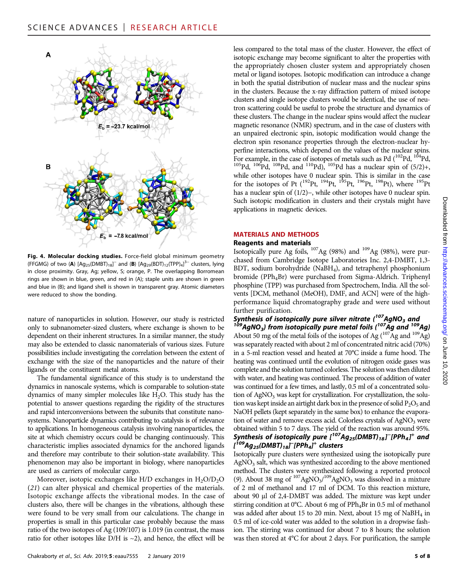

Fig. 4. Molecular docking studies. Force-field global minimum geometry (FFGMG) of two (A)  $[Ag_{25}(DMBT)_{18}]^-$  and (B)  $[Ag_{29}(BDT)_{12}(TPP)_4]^{3-}$  clusters, lying in close proximity. Gray, Ag; yellow, S; orange, P. The overlapping Borromean rings are shown in blue, green, and red in (A); staple units are shown in green and blue in (B); and ligand shell is shown in transparent gray. Atomic diameters were reduced to show the bonding.

nature of nanoparticles in solution. However, our study is restricted only to subnanometer-sized clusters, where exchange is shown to be dependent on their inherent structures. In a similar manner, the study may also be extended to classic nanomaterials of various sizes. Future possibilities include investigating the correlation between the extent of exchange with the size of the nanoparticles and the nature of their ligands or the constituent metal atoms.

The fundamental significance of this study is to understand the dynamics in nanoscale systems, which is comparable to solution-state dynamics of many simpler molecules like  $H_2O$ . This study has the potential to answer questions regarding the rigidity of the structures and rapid interconversions between the subunits that constitute nanosystems. Nanoparticle dynamics contributing to catalysis is of relevance to applications. In homogeneous catalysis involving nanoparticles, the site at which chemistry occurs could be changing continuously. This characteristic implies associated dynamics for the anchored ligands and therefore may contribute to their solution-state availability. This phenomenon may also be important in biology, where nanoparticles are used as carriers of molecular cargo.

Moreover, isotopic exchanges like H/D exchanges in  $H_2O/D_2O$ (21) can alter physical and chemical properties of the materials. Isotopic exchange affects the vibrational modes. In the case of clusters also, there will be changes in the vibrations, although these were found to be very small from our calculations. The change in properties is small in this particular case probably because the mass ratio of the two isotopes of Ag (109/107) is 1.019 (in contrast, the mass ratio for other isotopes like D/H is  $\sim$ 2), and hence, the effect will be

Chakraborty et al., Sci. Adv. 2019; 5: eaau7555 2 January 2019  $\overline{5}$  of 8

less compared to the total mass of the cluster. However, the effect of isotopic exchange may become significant to alter the properties with the appropriately chosen cluster system and appropriately chosen metal or ligand isotopes. Isotopic modification can introduce a change in both the spatial distribution of nuclear mass and the nuclear spins in the clusters. Because the x-ray diffraction pattern of mixed isotope clusters and single isotope clusters would be identical, the use of neutron scattering could be useful to probe the structure and dynamics of these clusters. The change in the nuclear spins would affect the nuclear magnetic resonance (NMR) spectrum, and in the case of clusters with an unpaired electronic spin, isotopic modification would change the electron spin resonance properties through the electron-nuclear hyperfine interactions, which depend on the values of the nuclear spins.<br>For example, in the case of isotopes of metals such as Pd  $(^{102}Pd, ^{104}Pd,$  $F_{105}$   $F_{106}$   $F_{106}$   $F_{108}$   $F_{108}$  and  $F_{106}$   $F_{100}$ ,  $F_{105}$  and  $F_{100}$  has a nuclear spin of (5/2)+, while other isotopes have 0 nuclear spin. This is similar in the case for the isotopes of Pt  $({}^{192}Pt, {}^{194}Pt, {}^{195}Pt, {}^{196}Pt, {}^{198}Pt)$ , where  ${}^{195}Pt$ has a nuclear spin of (1/2)−, while other isotopes have 0 nuclear spin. Such isotopic modification in clusters and their crystals might have applications in magnetic devices.

### MATERIALS AND METHODS

# Reagents and materials

Isotopically pure Ag foils, 107Ag (98%) and 109Ag (98%), were purchased from Cambridge Isotope Laboratories Inc. 2,4-DMBT, 1,3- BDT, sodium borohydride (NaBH<sub>4</sub>), and tetraphenyl phosphonium bromide (PPh<sub>4</sub>Br) were purchased from Sigma-Aldrich. Triphenyl phosphine (TPP) was purchased from Spectrochem, India. All the solvents [DCM, methanol (MeOH), DMF, and ACN] were of the highperformance liquid chromatography grade and were used without

# further purification.<br>**Synthesis of isotopically pure silver nitrate (<sup>107</sup>AgNO<sub>3</sub> and**  $^{109}$ AgNO<sub>3</sub>) from isotopically pure metal foils (<sup>107</sup>Ag and <sup>109</sup>Ag)

About 50 mg of the metal foils of the isotopes of Ag  $(^{107}$ Ag and  $^{109}$ Ag) was separately reacted with about 2 ml of concentrated nitric acid (70%) in a 5-ml reaction vessel and heated at 70°C inside a fume hood. The heating was continued until the evolution of nitrogen oxide gases was complete and the solution turned colorless. The solution was then diluted with water, and heating was continued. The process of addition of water was continued for a few times, and lastly, 0.5 ml of a concentrated solution of  $AgNO<sub>3</sub>$  was kept for crystallization. For crystallization, the solution was kept inside an airtight dark box in the presence of solid  $P_2O_5$  and NaOH pellets (kept separately in the same box) to enhance the evaporation of water and remove excess acid. Colorless crystals of  $AgNO<sub>3</sub>$  were obtained within 5 to 7 days. The yield of the reaction was around 95%. Synthesis of isotopically pure [ $^{107}$ Ag $_{25}$ (DMBT) $_{18}$ ] $^{-}$ [PPh $_{4}$ ] $^{+}$  and [<sup>109</sup>Ag<sub>25</sub>(DMBT)<sub>18</sub>] [PPh<sub>4</sub>]  $^+$  clusters

Isotopically pure clusters were synthesized using the isotopically pure  $AgNO<sub>3</sub>$  salt, which was synthesized according to the above mentioned method. The clusters were synthesized following a reported protocol (9). About 38 mg of  $107 \text{AgNO}_3/109 \text{AgNO}_3$  was dissolved in a mixture of 2 ml of methanol and 17 ml of DCM. To this reaction mixture, about 90 µl of 2,4-DMBT was added. The mixture was kept under stirring condition at 0°C. About 6 mg of  $PPh_4Br$  in 0.5 ml of methanol was added after about 15 to 20 min. Next, about 15 mg of  $NaBH<sub>4</sub>$  in 0.5 ml of ice-cold water was added to the solution in a dropwise fashion. The stirring was continued for about 7 to 8 hours; the solution was then stored at 4°C for about 2 days. For purification, the sample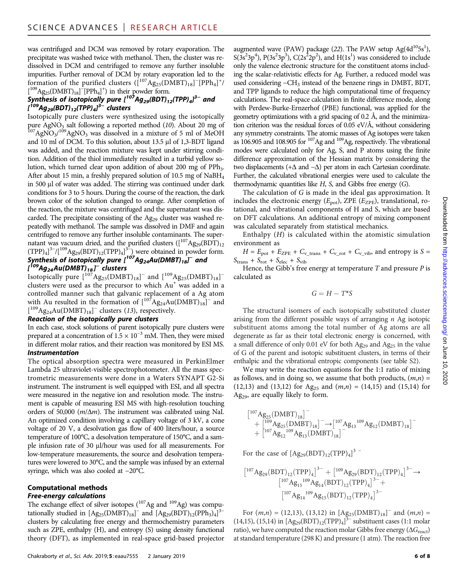was centrifuged and DCM was removed by rotary evaporation. The precipitate was washed twice with methanol. Then, the cluster was redissolved in DCM and centrifuged to remove any further insoluble impurities. Further removal of DCM by rotary evaporation led to the formation of the purified clusters  $([^{107}Ag_{25}(DMBT)_{18}]^{-}[PPh_{4}]^{+}/$  $[{}^{109}Ag_{25}(DMBT)_{18}]$ <sup>-</sup>[PPh<sub>4</sub>]<sup>+</sup>) in their powder form.

# Synthesis of isotopically pure [ $^{107}$ Ag<sub>29</sub>(BDT)<sub>12</sub>(TPP)<sub>4</sub>]<sup>3–</sup> and [<sup>109</sup>Ag<sub>29</sub>(BDT)<sub>12</sub>(TPP)<sub>4</sub>]<sup>3-</sup> clusters

Isotopically pure clusters were synthesized using the isotopically pure AgNO<sub>3</sub> salt following a reported method (10). About 20 mg of  $107 \text{ AgNO}_3/109 \text{ AgNO}_3$  was dissolved in a mixture of 5 ml of MeOH and 10 ml of DCM. To this solution, about 13.5 µl of 1,3-BDT ligand was added, and the reaction mixture was kept under stirring condition. Addition of the thiol immediately resulted in a turbid yellow solution, which turned clear upon addition of about 200 mg of PPh<sub>3</sub>. After about 15 min, a freshly prepared solution of 10.5 mg of NaBH4 in 500 µl of water was added. The stirring was continued under dark conditions for 3 to 5 hours. During the course of the reaction, the dark brown color of the solution changed to orange. After completion of the reaction, the mixture was centrifuged and the supernatant was discarded. The precipitate consisting of the  $Ag_{29}$  cluster was washed repeatedly with methanol. The sample was dissolved in DMF and again centrifuged to remove any further insoluble contaminants. The supernatant was vacuum dried, and the purified clusters  $([107Ag_{29}(BDT)_{12})$  $(TPP)_{4}$ ]<sup>3-</sup>/[<sup>109</sup>Ag<sub>29</sub>(BDT)<sub>12</sub>(TPP)<sub>4</sub>]<sup>3-</sup><sub>2</sub> were obtained in powder form. Synthesis of isotopically pure [ $^{107}$ Ag<sub>24</sub>Au(DMBT)<sub>18</sub>] and

# [<sup>io9</sup>Ag<sub>24</sub>Au(DMBT)<sub>18</sub>]<sup>−</sup> clusters

Isotopically pure  $\left[107\right]$  Ag<sub>25</sub>(DMBT)<sub>18</sub>]<sup>-</sup> and  $\left[109\right]$  Ag<sub>25</sub>(DMBT)<sub>18</sub>]<sup>-</sup> clusters were used as the precursor to which Au<sup>+</sup> was added in a controlled manner such that galvanic replacement of a Ag atom with Au resulted in the formation of  $\left[1^{107}Ag_{24}Au(DMBT)_{18}\right]$ <sup>-</sup> and  $[{}^{109}Ag_{24}Au(DMBT)_{18}]^-$  clusters (13), respectively.

# Reaction of the isotopically pure clusters

In each case, stock solutions of parent isotopically pure clusters were prepared at a concentration of  $1.5 \times 10^{-3}$  mM. Then, they were mixed in different molar ratios, and their reaction was monitored by ESI MS. Instrumentation

The optical absorption spectra were measured in PerkinElmer Lambda 25 ultraviolet-visible spectrophotometer. All the mass spectrometric measurements were done in a Waters SYNAPT G2-Si instrument. The instrument is well equipped with ESI, and all spectra were measured in the negative ion and resolution mode. The instrument is capable of measuring ESI MS with high-resolution touching orders of 50,000 ( $m/\Delta m$ ). The instrument was calibrated using NaI. An optimized condition involving a capillary voltage of 3 kV, a cone voltage of 20 V, a desolvation gas flow of 400 liters/hour, a source temperature of 100°C, a desolvation temperature of 150°C, and a sample infusion rate of 30 µl/hour was used for all measurements. For low-temperature measurements, the source and desolvation temperatures were lowered to 30°C, and the sample was infused by an external syringe, which was also cooled at −20°C.

#### Computational methods Free-energy calculations

The exchange effect of silver isotopes  $(^{107}Ag$  and  $^{109}Ag)$  was computationally studied in  $[Ag_{25}(DMBT)_{18}]^-$  and  $[Ag_{29}(BDT)_{12}(PPh_3)_4]^{3-}$ clusters by calculating free energy and thermochemistry parameters such as ZPE, enthalpy (H), and entropy (S) using density functional theory (DFT), as implemented in real-space grid-based projector

augmented wave (PAW) package (22). The PAW setup  $Ag(4d^{10}5s^1)$ ,  $S(3s<sup>2</sup>3p<sup>4</sup>)$ , P(3s<sup>2</sup>3p<sup>3</sup>), C(2s<sup>2</sup>2p<sup>2</sup>), and H(1s<sup>1</sup>) was considered to include only the valence electronic structure for the constituent atoms including the scalar-relativistic effects for Ag. Further, a reduced model was used considering −CH<sub>3</sub> instead of the benzene rings in DMBT, BDT, and TPP ligands to reduce the high computational time of frequency calculations. The real-space calculation in finite difference mode, along with Perdew-Burke-Ernzerhof (PBE) functional, was applied for the geometry optimizations with a grid spacing of 0.2 Å, and the minimization criterion was the residual forces of 0.05 eV/Å, without considering any symmetry constraints. The atomic masses of Ag isotopes were taken as 106.905 and 108.905 for  $^{107}$ Ag and  $^{109}$ Ag, respectively. The vibrational modes were calculated only for Ag, S, and P atoms using the finite difference approximation of the Hessian matrix by considering the two displacements (+ $\Delta$  and  $-\Delta$ ) per atom in each Cartesian coordinate. Further, the calculated vibrational energies were used to calculate the thermodynamic quantities like  $H$ ,  $S$ , and Gibbs free energy  $(G)$ .

The calculation of G is made in the ideal gas approximation. It includes the electronic energy  $(E_{pot})$ , ZPE  $(E_{ZPE})$ , translational, rotational, and vibrational components of H and S, which are based on DFT calculations. An additional entropy of mixing component was calculated separately from statistical mechanics.

Enthalpy  $(H)$  is calculated within the atomistic simulation environment as

 $H = E_{pot} + E_{ZPE} + C_{v_{\text{trans}}} + C_{v_{\text{rot}}} + C_{v_{\text{v}}}$  and entropy is S =  $S_{trans} + S_{rot} + S_{elec} + S_{vib}$ 

Hence, the Gibb's free energy at temperature  $T$  and pressure  $P$  is calculated as

$$
G = H - T^*S
$$

The structural isomers of each isotopically substituted cluster arising from the different possible ways of arranging  $n$  Ag isotopic substituent atoms among the total number of Ag atoms are all degenerate as far as their total electronic energy is concerned, with a small difference of only 0.01 eV for both Ag<sub>29</sub> and Ag<sub>25</sub> in the value of G of the parent and isotopic substituent clusters, in terms of their enthalpic and the vibrational entropic components (see table S2).

We may write the reaction equations for the 1:1 ratio of mixing as follows, and in doing so, we assume that both products,  $(m,n)$  = (12,13) and (13,12) for Ag<sub>25</sub> and  $(m,n) = (14,15)$  and (15,14) for Ag29, are equally likely to form.

$$
\begin{array}{l}[^{107}Ag_{25}(DMBT)_{18}]^-\\+\left[^{109}Ag_{25}(DMBT)_{18}]^- \!\!\rightarrow\!\left[^{107}Ag_{13}{}^{109}Ag_{12}(DMBT)_{18}\right]^-\\\!\!\!+\left[^{107}Ag_{12}{}^{109}Ag_{13}(DMBT)_{18}\right]^- \end{array}
$$

For the case of  $[Ag_{29}(BDT)_{12}(TPP)_4]^3$  -

$$
\begin{aligned}[{}^{107}\mathrm{Ag_{29}}(\mathrm{BDT})_{12}(\mathrm{TPP})_{4}\end{aligned} \big]^{3-} + \big[{}^{109}\mathrm{Ag_{29}}(\mathrm{BDT})_{12}(\mathrm{TPP})_{4}\big]^{3-} \rightarrow \\ \big[{}^{107}\mathrm{Ag_{15}}^{109}\mathrm{Ag_{14}}(\mathrm{BDT})_{12}(\mathrm{TPP})_{4}\big]^{3-} + \\ \big[{}^{107}\mathrm{Ag_{14}}^{109}\mathrm{Ag_{15}}(\mathrm{BDT})_{12}(\mathrm{TPP})_{4}\big]^{3-} \end{aligned}
$$

For  $(m,n) = (12,13)$ ,  $(13,12)$  in  $[Ag_{25}(DMBT)_{18}]$ <sup>-</sup> and  $(m,n)$  =  $(14,15)$ ,  $(15,14)$  in  $[Ag_{29}(BDT)_{12}(TPP)_4]$ <sup>3-</sup> substituent cases (1:1 molar ratio), we have computed the reaction molar Gibbs free energy ( $\Delta G_{\text{react}}$ ) at standard temperature (298 K) and pressure (1 atm). The reaction free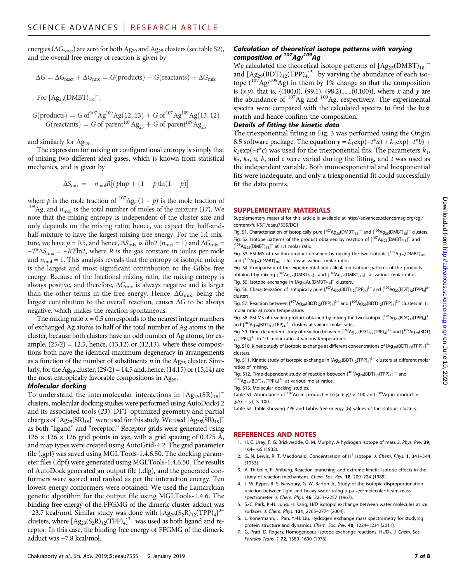energies ( $\Delta G_{\text{react}}$ ) are zero for both Ag<sub>29</sub> and Ag<sub>25</sub> clusters (see table S2), and the overall free energy of reaction is given by

$$
\Delta G = \Delta G_{\text{react}} + \Delta G_{\text{mix}} = G(\text{products}) - G(\text{reactants}) + \Delta G_{\text{mix}}
$$

For  $[Ag_{25}(DMBT)_{18}]^{-}$ ,

$$
G(products) = G of^{107} Ag^{109} Ag(12, 13) + G of^{107} Ag^{109}Ag(13, 12)
$$
  

$$
G(reactants) = G of parent^{107}Ag_{25} + G of parent^{109}Ag_{25}
$$

and similarly for Ag<sub>29</sub>.

The expression for mixing or configurational entropy is simply that of mixing two different ideal gases, which is known from statistical mechanics, and is given by

$$
\Delta S_{\text{mix}} = -n_{\text{mol}}R[(plnp + (1-p)ln(1-p)]
$$

where *p* is the mole fraction of <sup>107</sup>Ag,  $(1 - p)$  is the mole fraction of <sup>109</sup>Ag, and  $n_{\text{mol}}$  is the total number of moles of the mixture (17). We note that the mixing entropy is independent of the cluster size and only depends on the mixing ratio; hence, we expect the half-andhalf-mixture to have the largest mixing free energy. For the 1:1 mixture, we have  $p = 0.5$ , and hence,  $\Delta S_{\text{mix}}$  is Rln2 ( $n_{\text{mol}} = 1$ ) and  $\Delta G_{\text{mix}} =$  $-T^*\Delta S_{\text{mix}} = -RT\ln 2$ , where R is the gas constant in joules per mole and  $n_{\text{mol}} = 1$ . This analysis reveals that the entropy of isotopic mixing is the largest and most significant contribution to the Gibbs free energy. Because of the fractional mixing ratio, the mixing entropy is always positive, and therefore,  $\Delta G_{\text{mix}}$  is always negative and is larger than the other terms in the free energy. Hence,  $\Delta G_{\text{mix}}$ , being the largest contribution to the overall reaction, causes  $\Delta G$  to be always negative, which makes the reaction spontaneous.

The mixing ratio  $x = 0.5$  corresponds to the nearest integer numbers of exchanged Ag atoms to half of the total number of Ag atoms in the cluster, because both clusters have an odd number of Ag atoms, for example,  $(25/2) = 12.5$ , hence,  $(13,12)$  or  $(12,13)$ , where these compositions both have the identical maximum degeneracy in arrangements as a function of the number of substituents  $n$  in the Ag<sub>25</sub> cluster. Similarly, for the Ag<sub>29</sub> cluster,  $(29/2) = 14.5$  and, hence,  $(14,15)$  or  $(15,14)$  are the most entropically favorable compositions in Ag<sub>29</sub>.

#### Molecular docking

To understand the intermolecular interactions in  $[Ag_{25}(SR)_{18}]^$ clusters, molecular docking studies were performed using AutoDock4.2 and its associated tools (23). DFT-optimized geometry and partial charges of  $[Ag_{25}(SR)_{18}]^-$  were used for this study. We used  $[Ag_{25}(SR)_{18}]^$ as both "ligand" and "receptor." Receptor grids were generated using  $126 \times 126 \times 126$  grid points in *xyz*, with a grid spacing of 0.375 Å, and map types were created using AutoGrid-4.2. The grid parameter file (.gpf) was saved using MGL Tools-1.4.6.50. The docking parameter files (.dpf) were generated using MGLTools-1.4.6.50. The results of AutoDock generated an output file (.dlg), and the generated conformers were scored and ranked as per the interaction energy. Ten lowest-energy conformers were obtained. We used the Lamarckian genetic algorithm for the output file using MGLTools-1.4.6. The binding free energy of the FFGMG of the dimeric cluster adduct was -23.7 kcal/mol. Similar study was done with  $[Ag_{29}(S_2R)_{12}(TPP)_4]^{3-}$ clusters, where  $[Ag_{29}(S_2R)_{12}(TPP)_4]^{3-}$  was used as both ligand and receptor. In this case, the binding free energy of FFGMG of the dimeric adduct was −7.8 kcal/mol.

# Calculation of theoretical isotope patterns with varying composition of <sup>107</sup>Ag/<sup>109</sup>Ag

We calculated the theoretical isotope patterns of  $[Ag_{25}(DMBT)_{18}]^$ and  $[Ag_{29}(BDT)_{12}(TPP)_4]^{3-}$  by varying the abundance of each isotope  $(107)$ Ag/ $109$ Ag) in them by 1% change so that the composition is  $(x,y)$ , that is,  $\{(100,0), (99,1), (98,2)$ ....... $(0,100)\}$ , where x and y are the abundance of <sup>107</sup>Ag and <sup>109</sup>Ag, respectively. The experimental spectra were compared with the calculated spectra to find the best match and hence confirm the composition.

## Details of fitting the kinetic data

The triexponential fitting in Fig. 3 was performed using the Origin 8.5 software package. The equation  $y = k_1 \exp(-t^*a) + k_2 \exp(-t^*b)$  +  $k_3$ exp(−t\*c) was used for the triexponential fits. The parameters  $k_1$ ,  $k_2$ ,  $k_3$ , a, b, and c were varied during the fitting, and t was used as the independent variable. Both monoexponential and biexponential fits were inadequate, and only a triexponential fit could successfully fit the data points.

### SUPPLEMENTARY MATERIALS

Supplementary material for this article is available at [http://advances.sciencemag.org/cgi/](http://advances.sciencemag.org/cgi/content/full/5/1/eaau7555/DC1) [content/full/5/1/eaau7555/DC1](http://advances.sciencemag.org/cgi/content/full/5/1/eaau7555/DC1)

Fig. S1. Characterization of isotopically pure  $[^{107}Ag_{25}(DMBT)_{18}]^-$  and  $[^{109}Ag_{25}(DMBT)_{18}]^-$  clusters. Fig. S2. Isotope patterns of the product obtained by reaction of  $[^{107}Ag_{25}(DMBT)_{18}]^-$  and  $[{}^{109}Ag_{25}(DMBT)_{18}]^-$  at 1:1 molar ratio.

Fig. S3. ESI MS of reaction product obtained by mixing the two isotopic  $\left[^{107}\text{Ag}_{25}(\text{DMBT})_{18}\right]^{-1}$ and  $[{}^{109}Ag_{25}(DMBT)_{18}]^-$  clusters at various molar ratios.

Fig. S4. Comparison of the experimental and calculated isotope patterns of the products obtained by mixing  $[^{107}Ag_{25}(DMBT)_{18}]^-$  and  $[^{109}Ag_{25}(DMBT)_{18}]^-$  at various molar ratios. Fig. S5. Isotope exchange in  $[Ag_{24}Au(DMBT)_{18}]^-$  clusters.

Fig. S6. Characterization of isotopically pure  $[^{107}Ag_{29}(BDT)_{12}(TPP)_{4}]^{3-}$  and  $[^{109}Ag_{29}(BDT)_{12}(TPP)_{4}]^{3-}$ clusters.

Fig. S7. Reaction between [<sup>107</sup>Ag<sub>29</sub>(BDT)<sub>12</sub>(TPP)<sub>4</sub>]<sup>3-</sup> and [<sup>109</sup>Ag<sub>29</sub>(BDT)<sub>12</sub>(TPP)<sub>4</sub>]<sup>3-</sup> clusters in 1:1 molar ratio at room temperature.

Fig. S8. ESI MS of reaction product obtained by mixing the two isotopic  $[{}^{107}Ag_{29}(BDT)_{12}(TPP)_4]^{3-}$ and  $[{}^{109}Ag_{29} (BDT)_{12} (TPP)_4]^{3-}$  clusters at various molar ratios.

Fig. S9. Time-dependent study of reaction between  $[^{107}$ Ag<sub>29</sub>(BDT)<sub>12</sub>(TPP)<sub>4</sub>]<sup>3–</sup> and  $[^{109}$ Ag<sub>29</sub>(BDT)  $_{12}$ (TPP)<sub>4</sub>]<sup>3-</sup> in 1:1 molar ratio at various temperatures.

Fig. S10. Kinetic study of isotopic exchange at different concentrations of [Ag<sub>29</sub>(BDT)<sub>12</sub>(TPP)<sub>4</sub>]<sup>3–</sup> clusters.

Fig. S11. Kinetic study of isotopic exchange in  $[Ag_{29}(BDT)_{12}(TPP)_4]^{3-}$  clusters at different molar ratios of mixing.

Fig. S12. Time-dependent study of reaction between  $[^{107}Ag_{29}(BDT)_{12}(TPP)_4]^{3-}$  and  $[109Ag_{29}(BDT)<sub>12</sub>(TPP)<sub>4</sub>]$ <sup>3-</sup> at various molar ratios.

Fig. S13. Molecular docking studies.

Table S1. Abundance of  $107$ Ag in product = {x/(x + y)} × 100 and  $109$ Ag in product =  $\{y/(x + y)\}\times 100$ .

Table S2. Table showing ZPE and Gibbs free energy (G) values of the isotopic clusters.

# REFERENCES AND NOTES

- 1. H. C. Urey, F. G. Brickwedde, G. M. Murphy, A hydrogen isotope of mass 2. Phys. Rev. 39, 164–165 (1932).
- 2. G. N. Lewis, R. T. Macdonald, Concentration of  $H^2$  isotope. J. Chem. Phys. 1, 341-344 (1933).
- 3. A. Thibblin, P. Ahlberg, Reaction branching and extreme kinetic isotope effects in the study of reaction mechanisms. Chem. Soc. Rev. 18, 209–224 (1989).
- 4. J. W. Pyper, R. S. Newbury, G. W. Barton Jr., Study of the isotopic disproportionation reaction between light and heavy water using a pulsed-molecular-beam mass spectrometer. J. Chem. Phys. 46, 2253–2257 (1967).
- 5. S.-C. Park, K.-H. Jung, H. Kang, H/D isotopic exchange between water molecules at ice surfaces. J. Chem. Phys. 121, 2765–2774 (2004).
- 6. L. Konermann, J. Pan, Y.-H. Liu, Hydrogen exchange mass spectrometry for studying protein structure and dynamics. Chem. Soc. Rev. 40, 1224–1234 (2011).
- 7. G. Pratt, D. Rogers, Homogeneous isotope exchange reactions.  $H_2/D_2$ . J. Chem. Soc. Faraday Trans. 1 72, 1589–1600 (1976).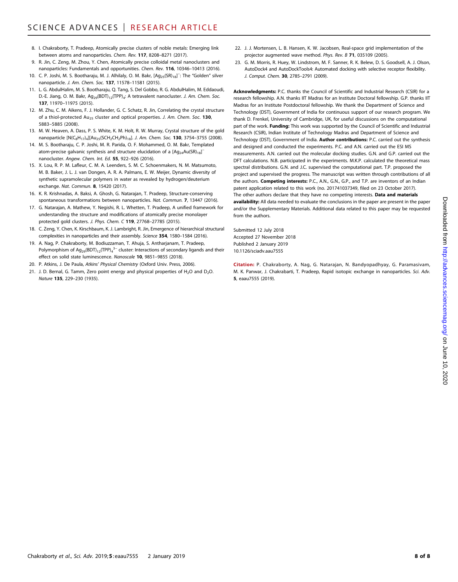- 8. I. Chakraborty, T. Pradeep, Atomically precise clusters of noble metals: Emerging link between atoms and nanoparticles. Chem. Rev. 117, 8208–8271 (2017).
- 9. R. Jin, C. Zeng, M. Zhou, Y. Chen, Atomically precise colloidal metal nanoclusters and nanoparticles: Fundamentals and opportunities. Chem. Rev. 116, 10346–10413 (2016).
- 10. C. P. Joshi, M. S. Bootharaju, M. J. Alhilaly, O. M. Bakr, [Ag<sub>25</sub>(SR)<sub>18</sub>]<sup>-</sup>: The "Golden" silver nanoparticle. J. Am. Chem. Soc. 137, 11578–11581 (2015).
- 11. L. G. AbdulHalim, M. S. Bootharaju, Q. Tang, S. Del Gobbo, R. G. AbdulHalim, M. Eddaoudi, D.-E. Jiang, O. M. Bakr, Ag<sub>29</sub>(BDT)<sub>12</sub>(TPP)<sub>4</sub>: A tetravalent nanocluster. J. Am. Chem. Soc. 137, 11970–11975 (2015).
- 12. M. Zhu, C. M. Aikens, F. J. Hollander, G. C. Schatz, R. Jin, Correlating the crystal structure of a thiol-protected  $Au_{25}$  cluster and optical properties. J. Am. Chem. Soc. 130, 5883–5885 (2008).
- 13. M. W. Heaven, A. Dass, P. S. White, K. M. Holt, R. W. Murray, Crystal structure of the gold nanoparticle  $[N(C_8H_{17})_4][Au_{25}(SCH_2CH_2Ph)_{18}]$ . J. Am. Chem. Soc. 130, 3754-3755 (2008).
- 14. M. S. Bootharaju, C. P. Joshi, M. R. Parida, O. F. Mohammed, O. M. Bakr, Templated atom-precise galvanic synthesis and structure elucidation of a  $[{\rm Ag}_{24}{\rm Au}({\rm SR})_{18}]^{-1}$ nanocluster. Angew. Chem. Int. Ed. 55, 922–926 (2016).
- 15. X. Lou, R. P. M. Lafleur, C. M. A. Leenders, S. M. C. Schoenmakers, N. M. Matsumoto, M. B. Baker, J. L. J. van Dongen, A. R. A. Palmans, E. W. Meijer, Dynamic diversity of synthetic supramolecular polymers in water as revealed by hydrogen/deuterium exchange. Nat. Commun. 8, 15420 (2017).
- 16. K. R. Krishnadas, A. Baksi, A. Ghosh, G. Natarajan, T. Pradeep, Structure-conserving spontaneous transformations between nanoparticles. Nat. Commun. 7, 13447 (2016).
- 17. G. Natarajan, A. Mathew, Y. Negishi, R. L. Whetten, T. Pradeep, A unified framework for understanding the structure and modifications of atomically precise monolayer protected gold clusters. J. Phys. Chem. C 119, 27768–27785 (2015).
- 18. C. Zeng, Y. Chen, K. Kirschbaum, K. J. Lambright, R. Jin, Emergence of hierarchical structural complexities in nanoparticles and their assembly. Science 354, 1580-1584 (2016).
- 19. A. Nag, P. Chakraborty, M. Bodiuzzaman, T. Ahuja, S. Antharjanam, T. Pradeep, Polymorphism of Ag<sub>29</sub>(BDT)<sub>12</sub>(TPP)<sub>4</sub><sup>3–</sup> cluster: Interactions of secondary ligands and their effect on solid state luminescence. Nanoscale 10, 9851-9855 (2018).
- 20. P. Atkins, J. De Paula, Atkins' Physical Chemistry (Oxford Univ. Press, 2006).
- 21. J. D. Bernal, G. Tamm, Zero point energy and physical properties of  $H_2O$  and  $D_2O$ . Nature 135, 229–230 (1935).
- 22. J. J. Mortensen, L. B. Hansen, K. W. Jacobsen, Real-space grid implementation of the projector augmented wave method. Phys. Rev. B 71, 035109 (2005).
- 23. G. M. Morris, R. Huey, W. Lindstrom, M. F. Sanner, R. K. Belew, D. S. Goodsell, A. J. Olson, AutoDock4 and AutoDockTools4: Automated docking with selective receptor flexibility. J. Comput. Chem. 30, 2785–2791 (2009).

Acknowledgments: P.C. thanks the Council of Scientific and Industrial Research (CSIR) for a research fellowship. A.N. thanks IIT Madras for an Institute Doctoral fellowship. G.P. thanks IIT Madras for an Institute Postdoctoral fellowship. We thank the Department of Science and Technology (DST), Government of India for continuous support of our research program. We thank D. Frenkel, University of Cambridge, UK, for useful discussions on the computational part of the work. Funding: This work was supported by the Council of Scientific and Industrial Research (CSIR), Indian Institute of Technology Madras and Department of Science and Technology (DST), Government of India. Author contributions: P.C. carried out the synthesis and designed and conducted the experiments. P.C. and A.N. carried out the ESI MS measurements. A.N. carried out the molecular docking studies. G.N. and G.P. carried out the DFT calculations. N.B. participated in the experiments. M.K.P. calculated the theoretical mass spectral distributions. G.N. and J.C. supervised the computational part. T.P. proposed the project and supervised the progress. The manuscript was written through contributions of all the authors. Competing interests: P.C., A.N., G.N., G.P., and T.P. are inventors of an Indian patent application related to this work (no. 201741037349, filed on 23 October 2017). The other authors declare that they have no competing interests. Data and materials availability: All data needed to evaluate the conclusions in the paper are present in the paper and/or the Supplementary Materials. Additional data related to this paper may be requested from the authors.

Submitted 12 July 2018 Accepted 27 November 2018 Published 2 January 2019 10.1126/sciadv.aau7555

Citation: P. Chakraborty, A. Nag, G. Natarajan, N. Bandyopadhyay, G. Paramasivam, M. K. Panwar, J. Chakrabarti, T. Pradeep, Rapid isotopic exchange in nanoparticles. Sci. Adv. 5, eaau7555 (2019).